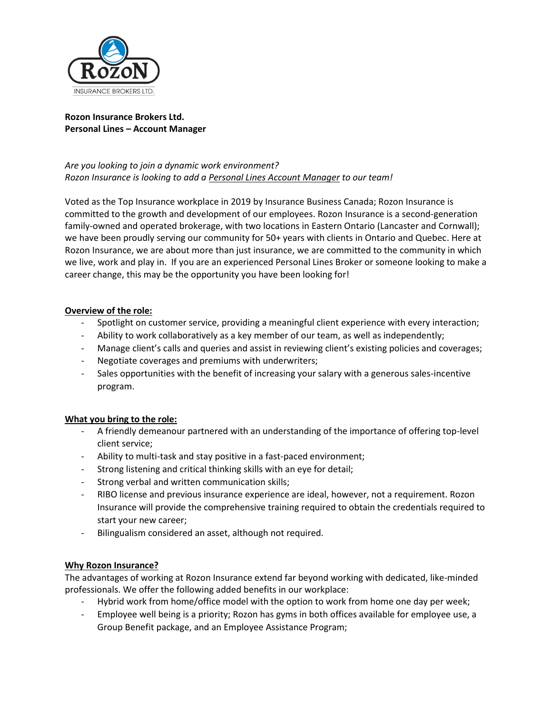

### **Rozon Insurance Brokers Ltd. Personal Lines – Account Manager**

# *Are you looking to join a dynamic work environment? Rozon Insurance is looking to add a Personal Lines Account Manager to our team!*

Voted as the Top Insurance workplace in 2019 by Insurance Business Canada; Rozon Insurance is committed to the growth and development of our employees. Rozon Insurance is a second-generation family-owned and operated brokerage, with two locations in Eastern Ontario (Lancaster and Cornwall); we have been proudly serving our community for 50+ years with clients in Ontario and Quebec. Here at Rozon Insurance, we are about more than just insurance, we are committed to the community in which we live, work and play in. If you are an experienced Personal Lines Broker or someone looking to make a career change, this may be the opportunity you have been looking for!

## **Overview of the role:**

- Spotlight on customer service, providing a meaningful client experience with every interaction;
- Ability to work collaboratively as a key member of our team, as well as independently;
- Manage client's calls and queries and assist in reviewing client's existing policies and coverages;
- Negotiate coverages and premiums with underwriters;
- Sales opportunities with the benefit of increasing your salary with a generous sales-incentive program.

#### **What you bring to the role:**

- A friendly demeanour partnered with an understanding of the importance of offering top-level client service;
- Ability to multi-task and stay positive in a fast-paced environment;
- Strong listening and critical thinking skills with an eye for detail;
- Strong verbal and written communication skills;
- RIBO license and previous insurance experience are ideal, however, not a requirement. Rozon Insurance will provide the comprehensive training required to obtain the credentials required to start your new career;
- Bilingualism considered an asset, although not required.

#### **Why Rozon Insurance?**

The advantages of working at Rozon Insurance extend far beyond working with dedicated, like-minded professionals. We offer the following added benefits in our workplace:

- Hybrid work from home/office model with the option to work from home one day per week;
- Employee well being is a priority; Rozon has gyms in both offices available for employee use, a Group Benefit package, and an Employee Assistance Program;